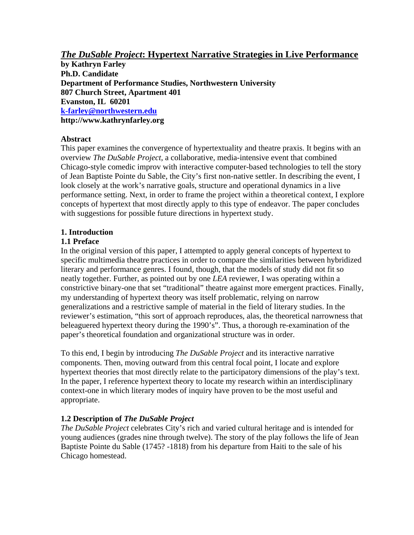# *The DuSable Project***: Hypertext Narrative Strategies in Live Performance**

**by Kathryn Farley Ph.D. Candidate Department of Performance Studies, Northwestern University 807 Church Street, Apartment 401 Evanston, IL 60201 [k-farley@northwestern.edu](mailto:k-farley@northwestern.edu)** http://www.kathrynfarley.org

## **Abstract**

This paper examines the convergence of hypertextuality and theatre praxis. It begins with an overview *The DuSable Project*, a collaborative, media-intensive event that combined Chicago-style comedic improv with interactive computer-based technologies to tell the story of Jean Baptiste Pointe du Sable, the City's first non-native settler. In describing the event, I look closely at the work's narrative goals, structure and operational dynamics in a live performance setting. Next, in order to frame the project within a theoretical context, I explore concepts of hypertext that most directly apply to this type of endeavor. The paper concludes with suggestions for possible future directions in hypertext study.

# **1. Introduction**

## **1.1 Preface**

In the original version of this paper, I attempted to apply general concepts of hypertext to specific multimedia theatre practices in order to compare the similarities between hybridized literary and performance genres. I found, though, that the models of study did not fit so neatly together. Further, as pointed out by one *LEA* reviewer, I was operating within a constrictive binary-one that set "traditional" theatre against more emergent practices. Finally, my understanding of hypertext theory was itself problematic, relying on narrow generalizations and a restrictive sample of material in the field of literary studies. In the reviewer's estimation, "this sort of approach reproduces, alas, the theoretical narrowness that beleaguered hypertext theory during the 1990's". Thus, a thorough re-examination of the paper's theoretical foundation and organizational structure was in order.

To this end, I begin by introducing *The DuSable Project* and its interactive narrative components. Then, moving outward from this central focal point, I locate and explore hypertext theories that most directly relate to the participatory dimensions of the play's text. In the paper, I reference hypertext theory to locate my research within an interdisciplinary context-one in which literary modes of inquiry have proven to be the most useful and appropriate.

# **1.2 Description of** *The DuSable Project*

*The DuSable Project* celebrates City's rich and varied cultural heritage and is intended for young audiences (grades nine through twelve). The story of the play follows the life of Jean Baptiste Pointe du Sable (1745? -1818) from his departure from Haiti to the sale of his Chicago homestead.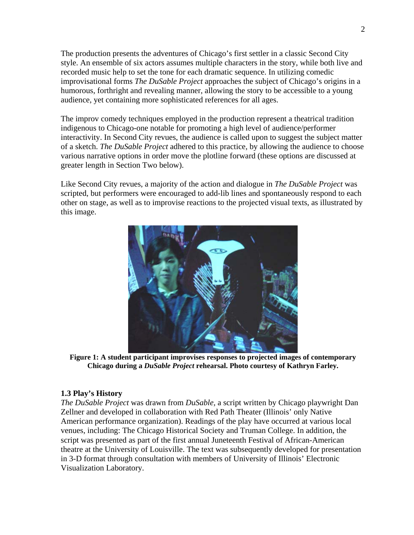The production presents the adventures of Chicago's first settler in a classic Second City style. An ensemble of six actors assumes multiple characters in the story, while both live and recorded music help to set the tone for each dramatic sequence. In utilizing comedic improvisational forms *The DuSable Project* approaches the subject of Chicago's origins in a humorous, forthright and revealing manner, allowing the story to be accessible to a young audience, yet containing more sophisticated references for all ages.

The improv comedy techniques employed in the production represent a theatrical tradition indigenous to Chicago-one notable for promoting a high level of audience/performer interactivity. In Second City revues, the audience is called upon to suggest the subject matter of a sketch. *The DuSable Project* adhered to this practice, by allowing the audience to choose various narrative options in order move the plotline forward (these options are discussed at greater length in Section Two below).

Like Second City revues, a majority of the action and dialogue in *The DuSable Project* was scripted, but performers were encouraged to add-lib lines and spontaneously respond to each other on stage, as well as to improvise reactions to the projected visual texts, as illustrated by this image.



**Figure 1: A student participant improvises responses to projected images of contemporary Chicago during a** *DuSable Project* **rehearsal. Photo courtesy of Kathryn Farley.** 

### **1.3 Play's History**

*The DuSable Project* was drawn from *DuSable,* a script written by Chicago playwright Dan Zellner and developed in collaboration with Red Path Theater (Illinois' only Native American performance organization). Readings of the play have occurred at various local venues, including: The Chicago Historical Society and Truman College. In addition, the script was presented as part of the first annual Juneteenth Festival of African-American theatre at the University of Louisville. The text was subsequently developed for presentation in 3-D format through consultation with members of University of Illinois' Electronic Visualization Laboratory.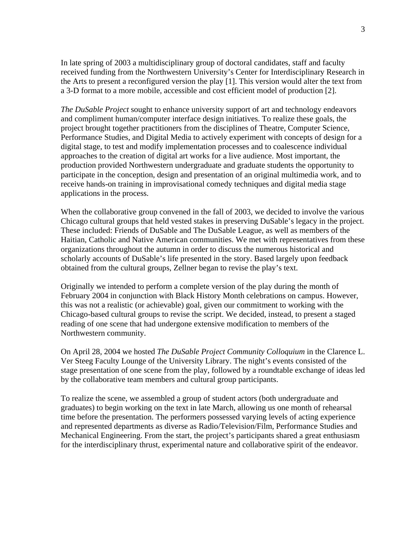In late spring of 2003 a multidisciplinary group of doctoral candidates, staff and faculty received funding from the Northwestern University's Center for Interdisciplinary Research in the Arts to present a reconfigured version the play [1]. This version would alter the text from a 3-D format to a more mobile, accessible and cost efficient model of production [2].

*The DuSable Project* sought to enhance university support of art and technology endeavors and compliment human/computer interface design initiatives. To realize these goals, the project brought together practitioners from the disciplines of Theatre, Computer Science, Performance Studies, and Digital Media to actively experiment with concepts of design for a digital stage, to test and modify implementation processes and to coalescence individual approaches to the creation of digital art works for a live audience. Most important, the production provided Northwestern undergraduate and graduate students the opportunity to participate in the conception, design and presentation of an original multimedia work, and to receive hands-on training in improvisational comedy techniques and digital media stage applications in the process.

When the collaborative group convened in the fall of 2003, we decided to involve the various Chicago cultural groups that held vested stakes in preserving DuSable's legacy in the project. These included: Friends of DuSable and The DuSable League, as well as members of the Haitian, Catholic and Native American communities. We met with representatives from these organizations throughout the autumn in order to discuss the numerous historical and scholarly accounts of DuSable's life presented in the story. Based largely upon feedback obtained from the cultural groups, Zellner began to revise the play's text.

Originally we intended to perform a complete version of the play during the month of February 2004 in conjunction with Black History Month celebrations on campus. However, this was not a realistic (or achievable) goal, given our commitment to working with the Chicago-based cultural groups to revise the script. We decided, instead, to present a staged reading of one scene that had undergone extensive modification to members of the Northwestern community.

On April 28, 2004 we hosted *The DuSable Project Community Colloquium* in the Clarence L. Ver Steeg Faculty Lounge of the University Library. The night's events consisted of the stage presentation of one scene from the play, followed by a roundtable exchange of ideas led by the collaborative team members and cultural group participants.

To realize the scene, we assembled a group of student actors (both undergraduate and graduates) to begin working on the text in late March, allowing us one month of rehearsal time before the presentation. The performers possessed varying levels of acting experience and represented departments as diverse as Radio/Television/Film, Performance Studies and Mechanical Engineering. From the start, the project's participants shared a great enthusiasm for the interdisciplinary thrust, experimental nature and collaborative spirit of the endeavor.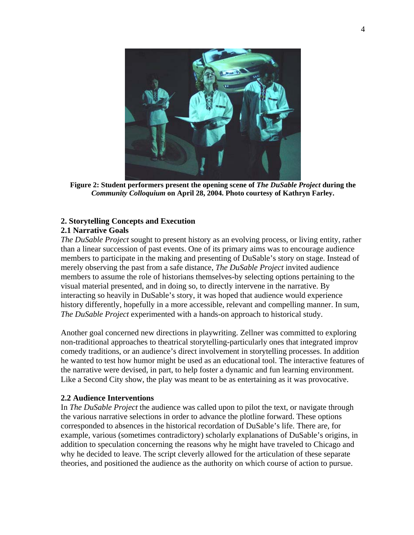

**Figure 2: Student performers present the opening scene of** *The DuSable Project* **during the** *Community Colloquium* **on April 28, 2004. Photo courtesy of Kathryn Farley.** 

## **2. Storytelling Concepts and Execution**

### **2.1 Narrative Goals**

*The DuSable Project* sought to present history as an evolving process, or living entity, rather than a linear succession of past events. One of its primary aims was to encourage audience members to participate in the making and presenting of DuSable's story on stage. Instead of merely observing the past from a safe distance, *The DuSable Project* invited audience members to assume the role of historians themselves-by selecting options pertaining to the visual material presented, and in doing so, to directly intervene in the narrative. By interacting so heavily in DuSable's story, it was hoped that audience would experience history differently, hopefully in a more accessible, relevant and compelling manner. In sum, *The DuSable Project* experimented with a hands-on approach to historical study.

Another goal concerned new directions in playwriting. Zellner was committed to exploring non-traditional approaches to theatrical storytelling-particularly ones that integrated improv comedy traditions, or an audience's direct involvement in storytelling processes. In addition he wanted to test how humor might be used as an educational tool. The interactive features of the narrative were devised, in part, to help foster a dynamic and fun learning environment. Like a Second City show, the play was meant to be as entertaining as it was provocative.

### **2.2 Audience Interventions**

In *The DuSable Project* the audience was called upon to pilot the text, or navigate through the various narrative selections in order to advance the plotline forward. These options corresponded to absences in the historical recordation of DuSable's life. There are, for example, various (sometimes contradictory) scholarly explanations of DuSable's origins, in addition to speculation concerning the reasons why he might have traveled to Chicago and why he decided to leave. The script cleverly allowed for the articulation of these separate theories, and positioned the audience as the authority on which course of action to pursue.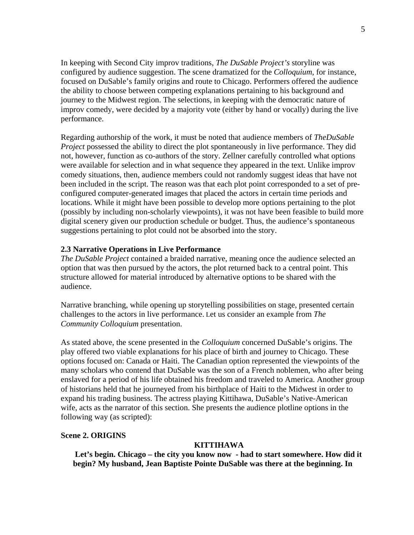In keeping with Second City improv traditions, *The DuSable Project's* storyline was configured by audience suggestion. The scene dramatized for the *Colloquium*, for instance, focused on DuSable's family origins and route to Chicago. Performers offered the audience the ability to choose between competing explanations pertaining to his background and journey to the Midwest region. The selections, in keeping with the democratic nature of improv comedy, were decided by a majority vote (either by hand or vocally) during the live performance.

Regarding authorship of the work, it must be noted that audience members of *TheDuSable Project* possessed the ability to direct the plot spontaneously in live performance. They did not, however, function as co-authors of the story. Zellner carefully controlled what options were available for selection and in what sequence they appeared in the text. Unlike improv comedy situations, then, audience members could not randomly suggest ideas that have not been included in the script. The reason was that each plot point corresponded to a set of preconfigured computer-generated images that placed the actors in certain time periods and locations. While it might have been possible to develop more options pertaining to the plot (possibly by including non-scholarly viewpoints), it was not have been feasible to build more digital scenery given our production schedule or budget. Thus, the audience's spontaneous suggestions pertaining to plot could not be absorbed into the story.

### **2.3 Narrative Operations in Live Performance**

*The DuSable Project* contained a braided narrative, meaning once the audience selected an option that was then pursued by the actors, the plot returned back to a central point. This structure allowed for material introduced by alternative options to be shared with the audience.

Narrative branching, while opening up storytelling possibilities on stage, presented certain challenges to the actors in live performance. Let us consider an example from *The Community Colloquium* presentation.

As stated above, the scene presented in the *Colloquium* concerned DuSable's origins. The play offered two viable explanations for his place of birth and journey to Chicago. These options focused on: Canada or Haiti. The Canadian option represented the viewpoints of the many scholars who contend that DuSable was the son of a French noblemen, who after being enslaved for a period of his life obtained his freedom and traveled to America. Another group of historians held that he journeyed from his birthplace of Haiti to the Midwest in order to expand his trading business. The actress playing Kittihawa, DuSable's Native-American wife, acts as the narrator of this section. She presents the audience plotline options in the following way (as scripted):

### **Scene 2. ORIGINS**

### **KITTIHAWA**

 **Let's begin. Chicago – the city you know now - had to start somewhere. How did it begin? My husband, Jean Baptiste Pointe DuSable was there at the beginning. In**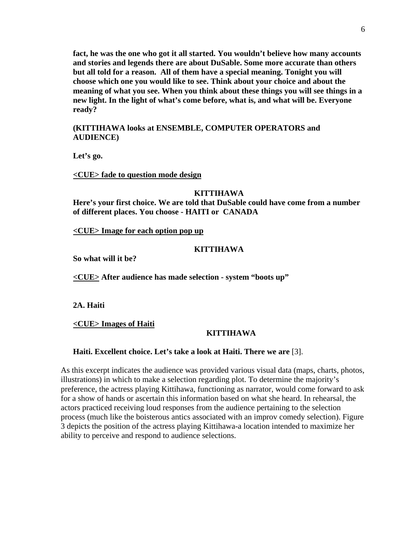**fact, he was the one who got it all started. You wouldn't believe how many accounts and stories and legends there are about DuSable. Some more accurate than others but all told for a reason. All of them have a special meaning. Tonight you will choose which one you would like to see. Think about your choice and about the meaning of what you see. When you think about these things you will see things in a new light. In the light of what's come before, what is, and what will be. Everyone ready?** 

### **(KITTIHAWA looks at ENSEMBLE, COMPUTER OPERATORS and AUDIENCE)**

**Let's go.** 

**<CUE> fade to question mode design** 

#### **KITTIHAWA**

**Here's your first choice. We are told that DuSable could have come from a number of different places. You choose - HAITI or CANADA** 

**<CUE> Image for each option pop up** 

#### **KITTIHAWA**

**So what will it be?** 

**<CUE> After audience has made selection - system "boots up"** 

**2A. Haiti** 

**<CUE> Images of Haiti**

#### **KITTIHAWA**

### **Haiti. Excellent choice. Let's take a look at Haiti. There we are** [3].

As this excerpt indicates the audience was provided various visual data (maps, charts, photos, illustrations) in which to make a selection regarding plot. To determine the majority's preference, the actress playing Kittihawa, functioning as narrator, would come forward to ask for a show of hands or ascertain this information based on what she heard. In rehearsal, the actors practiced receiving loud responses from the audience pertaining to the selection process (much like the boisterous antics associated with an improv comedy selection). Figure 3 depicts the position of the actress playing Kittihawa-a location intended to maximize her ability to perceive and respond to audience selections.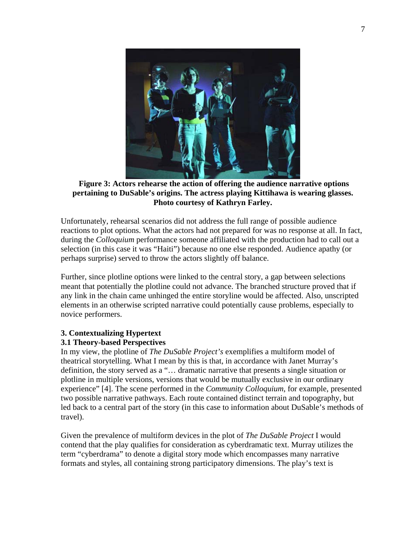

 **Figure 3: Actors rehearse the action of offering the audience narrative options pertaining to DuSable's origins. The actress playing Kittihawa is wearing glasses. Photo courtesy of Kathryn Farley.** 

Unfortunately, rehearsal scenarios did not address the full range of possible audience reactions to plot options. What the actors had not prepared for was no response at all. In fact, during the *Colloquium* performance someone affiliated with the production had to call out a selection (in this case it was "Haiti") because no one else responded. Audience apathy (or perhaps surprise) served to throw the actors slightly off balance.

Further, since plotline options were linked to the central story, a gap between selections meant that potentially the plotline could not advance. The branched structure proved that if any link in the chain came unhinged the entire storyline would be affected. Also, unscripted elements in an otherwise scripted narrative could potentially cause problems, especially to novice performers.

# **3. Contextualizing Hypertext**

### **3.1 Theory-based Perspectives**

In my view, the plotline of *The DuSable Project's* exemplifies a multiform model of theatrical storytelling. What I mean by this is that, in accordance with Janet Murray's definition, the story served as a "… dramatic narrative that presents a single situation or plotline in multiple versions, versions that would be mutually exclusive in our ordinary experience" [4]. The scene performed in the *Community Colloquium*, for example, presented two possible narrative pathways. Each route contained distinct terrain and topography, but led back to a central part of the story (in this case to information about DuSable's methods of travel).

Given the prevalence of multiform devices in the plot of *The DuSable Project* I would contend that the play qualifies for consideration as cyberdramatic text. Murray utilizes the term "cyberdrama" to denote a digital story mode which encompasses many narrative formats and styles, all containing strong participatory dimensions. The play's text is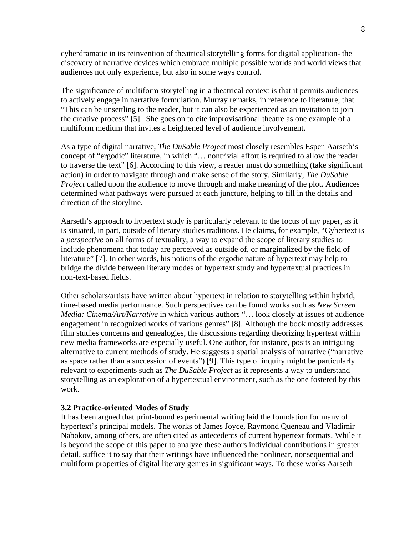cyberdramatic in its reinvention of theatrical storytelling forms for digital application- the discovery of narrative devices which embrace multiple possible worlds and world views that audiences not only experience, but also in some ways control.

The significance of multiform storytelling in a theatrical context is that it permits audiences to actively engage in narrative formulation. Murray remarks, in reference to literature, that "This can be unsettling to the reader, but it can also be experienced as an invitation to join the creative process" [5]. She goes on to cite improvisational theatre as one example of a multiform medium that invites a heightened level of audience involvement.

As a type of digital narrative, *The DuSable Project* most closely resembles Espen Aarseth's concept of "ergodic" literature, in which "… nontrivial effort is required to allow the reader to traverse the text" [6]. According to this view, a reader must do something (take significant action) in order to navigate through and make sense of the story. Similarly, *The DuSable Project* called upon the audience to move through and make meaning of the plot. Audiences determined what pathways were pursued at each juncture, helping to fill in the details and direction of the storyline.

Aarseth's approach to hypertext study is particularly relevant to the focus of my paper, as it is situated, in part, outside of literary studies traditions. He claims, for example, "Cybertext is a *perspective* on all forms of textuality, a way to expand the scope of literary studies to include phenomena that today are perceived as outside of, or marginalized by the field of literature" [7]. In other words, his notions of the ergodic nature of hypertext may help to bridge the divide between literary modes of hypertext study and hypertextual practices in non-text-based fields.

Other scholars/artists have written about hypertext in relation to storytelling within hybrid, time-based media performance. Such perspectives can be found works such as *New Screen Media: Cinema/Art/Narrative* in which various authors "… look closely at issues of audience engagement in recognized works of various genres" [8]. Although the book mostly addresses film studies concerns and genealogies, the discussions regarding theorizing hypertext within new media frameworks are especially useful. One author, for instance, posits an intriguing alternative to current methods of study. He suggests a spatial analysis of narrative ("narrative as space rather than a succession of events") [9]. This type of inquiry might be particularly relevant to experiments such as *The DuSable Project* as it represents a way to understand storytelling as an exploration of a hypertextual environment, such as the one fostered by this work.

#### **3.2 Practice-oriented Modes of Study**

It has been argued that print-bound experimental writing laid the foundation for many of hypertext's principal models. The works of James Joyce, Raymond Queneau and Vladimir Nabokov, among others, are often cited as antecedents of current hypertext formats. While it is beyond the scope of this paper to analyze these authors individual contributions in greater detail, suffice it to say that their writings have influenced the nonlinear, nonsequential and multiform properties of digital literary genres in significant ways. To these works Aarseth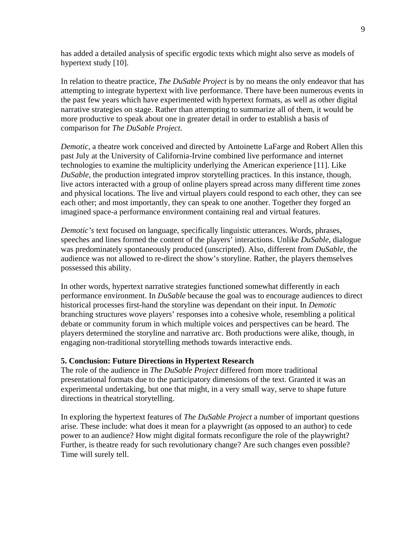has added a detailed analysis of specific ergodic texts which might also serve as models of hypertext study [10].

In relation to theatre practice, *The DuSable Project* is by no means the only endeavor that has attempting to integrate hypertext with live performance. There have been numerous events in the past few years which have experimented with hypertext formats, as well as other digital narrative strategies on stage. Rather than attempting to summarize all of them, it would be more productive to speak about one in greater detail in order to establish a basis of comparison for *The DuSable Project*.

*Demotic*, a theatre work conceived and directed by Antoinette LaFarge and Robert Allen this past July at the University of California-Irvine combined live performance and internet technologies to examine the multiplicity underlying the American experience [11]. Like *DuSable*, the production integrated improv storytelling practices. In this instance, though, live actors interacted with a group of online players spread across many different time zones and physical locations. The live and virtual players could respond to each other, they can see each other; and most importantly, they can speak to one another. Together they forged an imagined space-a performance environment containing real and virtual features.

*Demotic's* text focused on language, specifically linguistic utterances. Words, phrases, speeches and lines formed the content of the players' interactions. Unlike *DuSable*, dialogue was predominately spontaneously produced (unscripted). Also, different from *DuSable*, the audience was not allowed to re-direct the show's storyline. Rather, the players themselves possessed this ability.

In other words, hypertext narrative strategies functioned somewhat differently in each performance environment. In *DuSable* because the goal was to encourage audiences to direct historical processes first-hand the storyline was dependant on their input. In *Demotic* branching structures wove players' responses into a cohesive whole, resembling a political debate or community forum in which multiple voices and perspectives can be heard. The players determined the storyline and narrative arc. Both productions were alike, though, in engaging non-traditional storytelling methods towards interactive ends.

### **5. Conclusion: Future Directions in Hypertext Research**

The role of the audience in *The DuSable Project* differed from more traditional presentational formats due to the participatory dimensions of the text. Granted it was an experimental undertaking, but one that might, in a very small way, serve to shape future directions in theatrical storytelling.

In exploring the hypertext features of *The DuSable Project* a number of important questions arise. These include: what does it mean for a playwright (as opposed to an author) to cede power to an audience? How might digital formats reconfigure the role of the playwright? Further, is theatre ready for such revolutionary change? Are such changes even possible? Time will surely tell.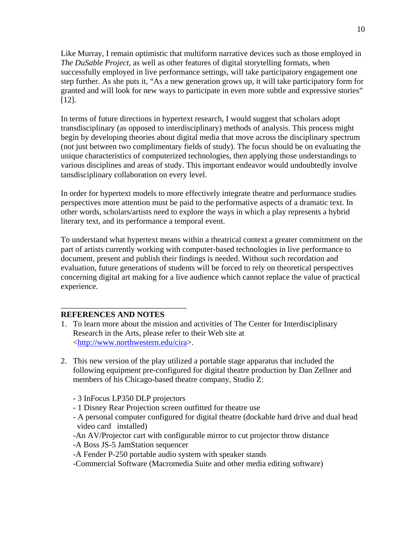Like Murray, I remain optimistic that multiform narrative devices such as those employed in *The DuSable Project*, as well as other features of digital storytelling formats, when successfully employed in live performance settings, will take participatory engagement one step further. As she puts it, "As a new generation grows up, it will take participatory form for granted and will look for new ways to participate in even more subtle and expressive stories" [12].

In terms of future directions in hypertext research, I would suggest that scholars adopt transdisciplinary (as opposed to interdisciplinary) methods of analysis. This process might begin by developing theories about digital media that move across the disciplinary spectrum (not just between two complimentary fields of study). The focus should be on evaluating the unique characteristics of computerized technologies, then applying those understandings to various disciplines and areas of study. This important endeavor would undoubtedly involve tansdisciplinary collaboration on every level.

In order for hypertext models to more effectively integrate theatre and performance studies perspectives more attention must be paid to the performative aspects of a dramatic text. In other words, scholars/artists need to explore the ways in which a play represents a hybrid literary text, and its performance a temporal event.

To understand what hypertext means within a theatrical context a greater commitment on the part of artists currently working with computer-based technologies in live performance to document, present and publish their findings is needed. Without such recordation and evaluation, future generations of students will be forced to rely on theoretical perspectives concerning digital art making for a live audience which cannot replace the value of practical experience.

### **REFERENCES AND NOTES**

\_\_\_\_\_\_\_\_\_\_\_\_\_\_\_\_\_\_\_\_\_\_\_\_\_\_\_\_\_\_\_

- 1. To learn more about the mission and activities of The Center for Interdisciplinary Research in the Arts, please refer to their Web site at <[http://www.northwestern.edu/cira>](http://www.northwestern.edu/cira).
- 2. This new version of the play utilized a portable stage apparatus that included the following equipment pre-configured for digital theatre production by Dan Zellner and members of his Chicago-based theatre company, Studio Z:
	- 3 InFocus LP350 DLP projectors
	- 1 Disney Rear Projection screen outfitted for theatre use
	- A personal computer configured for digital theatre (dockable hard drive and dual head video card installed)
	- -An AV/Projector cart with configurable mirror to cut projector throw distance
	- -A Boss JS-5 JamStation sequencer
	- -A Fender P-250 portable audio system with speaker stands
	- -Commercial Software (Macromedia Suite and other media editing software)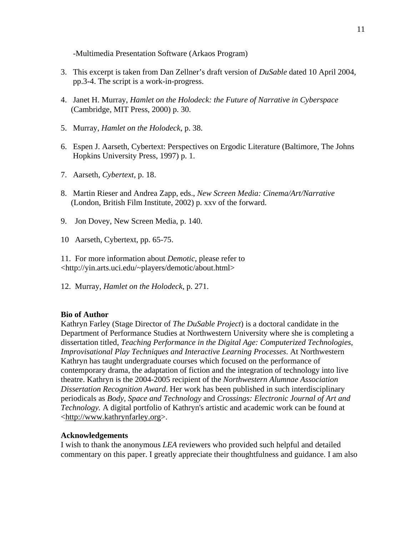-Multimedia Presentation Software (Arkaos Program)

- 3. This excerpt is taken from Dan Zellner's draft version of *DuSable* dated 10 April 2004, pp.3-4. The script is a work-in-progress.
- 4. Janet H. Murray, *Hamlet on the Holodeck: the Future of Narrative in Cyberspace* (Cambridge, MIT Press, 2000) p. 30.
- 5. Murray, *Hamlet on the Holodeck*, p. 38.
- 6. Espen J. Aarseth, Cybertext: Perspectives on Ergodic Literature (Baltimore, The Johns Hopkins University Press, 1997) p. 1.
- 7. Aarseth, *Cybertext*, p. 18.
- 8. Martin Rieser and Andrea Zapp, eds., *New Screen Media: Cinema/Art/Narrative* (London, British Film Institute, 2002) p. xxv of the forward.
- 9. Jon Dovey, New Screen Media, p. 140.
- 10 Aarseth, Cybertext, pp. 65-75.

11. For more information about *Demotic*, please refer to <http://yin.arts.uci.edu/~players/demotic/about.html>

12. Murray, *Hamlet on the Holodeck*, p. 271.

### **Bio of Author**

Kathryn Farley (Stage Director of *The DuSable Project*) is a doctoral candidate in the Department of Performance Studies at Northwestern University where she is completing a dissertation titled, *Teaching Performance in the Digital Age: Computerized Technologies, Improvisational Play Techniques and Interactive Learning Processes*. At Northwestern Kathryn has taught undergraduate courses which focused on the performance of contemporary drama, the adaptation of fiction and the integration of technology into live theatre. Kathryn is the 2004-2005 recipient of the *Northwestern Alumnae Association Dissertation Recognition Award*. Her work has been published in such interdisciplinary periodicals as *Body, Space and Technology* and *Crossings: Electronic Journal of Art and Technology.* A digital portfolio of Kathryn's artistic and academic work can be found at <[http://www.kathrynfarley.org](http://www.kathrynfarley.org/)>.

### **Acknowledgements**

I wish to thank the anonymous *LEA* reviewers who provided such helpful and detailed commentary on this paper. I greatly appreciate their thoughtfulness and guidance. I am also